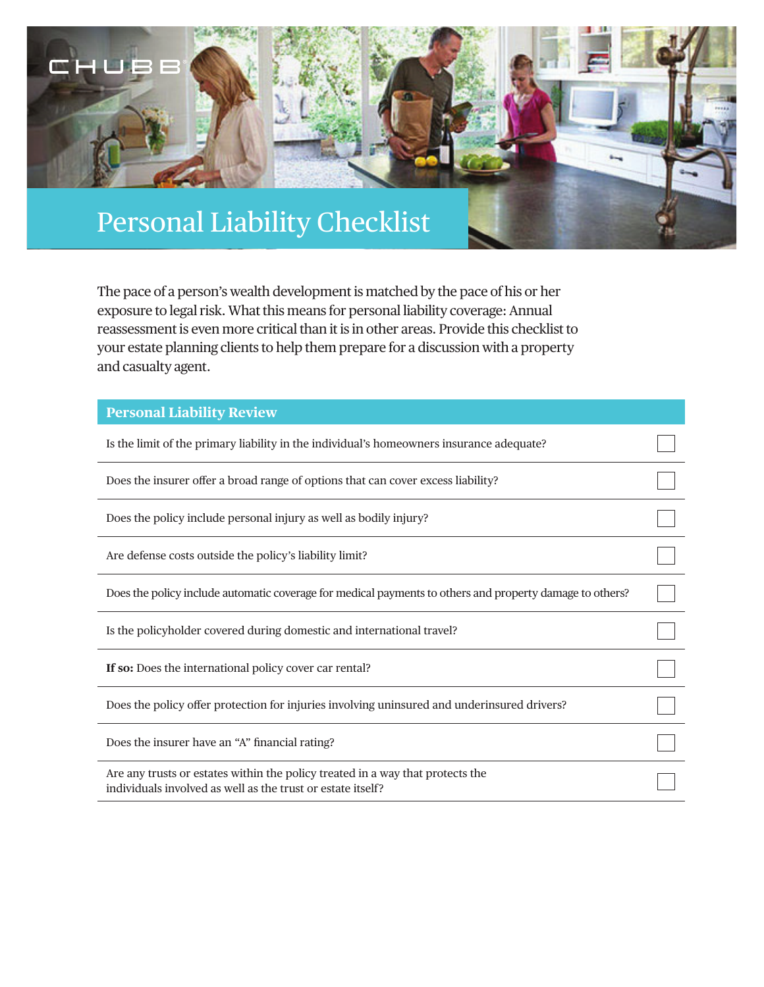

The pace of a person's wealth development is matched by the pace of his or her exposure to legal risk. What this means for personal liability coverage: Annual reassessment is even more critical than it is in other areas. Provide this checklist to your estate planning clients to help them prepare for a discussion with a property and casualty agent.

| <b>Personal Liability Review</b>                                                                                                              |  |
|-----------------------------------------------------------------------------------------------------------------------------------------------|--|
| Is the limit of the primary liability in the individual's homeowners insurance adequate?                                                      |  |
| Does the insurer offer a broad range of options that can cover excess liability?                                                              |  |
| Does the policy include personal injury as well as bodily injury?                                                                             |  |
| Are defense costs outside the policy's liability limit?                                                                                       |  |
| Does the policy include automatic coverage for medical payments to others and property damage to others?                                      |  |
| Is the policyholder covered during domestic and international travel?                                                                         |  |
| If so: Does the international policy cover car rental?                                                                                        |  |
| Does the policy offer protection for injuries involving uninsured and underinsured drivers?                                                   |  |
| Does the insurer have an "A" financial rating?                                                                                                |  |
| Are any trusts or estates within the policy treated in a way that protects the<br>individuals involved as well as the trust or estate itself? |  |